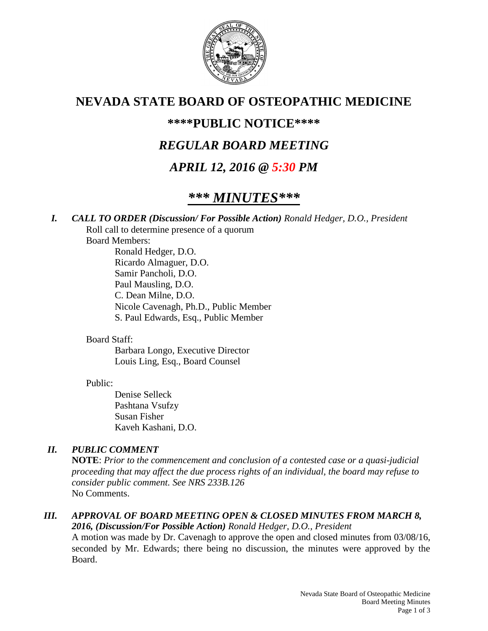

## **NEVADA STATE BOARD OF OSTEOPATHIC MEDICINE**

## **\*\*\*\*PUBLIC NOTICE\*\*\*\***

## *REGULAR BOARD MEETING*

## *APRIL 12, 2016 @ 5:30 PM*

# *\*\*\* MINUTES\*\*\**

*I. CALL TO ORDER (Discussion/ For Possible Action) Ronald Hedger, D.O., President* Roll call to determine presence of a quorum

Board Members:

Ronald Hedger, D.O. Ricardo Almaguer, D.O. Samir Pancholi, D.O. Paul Mausling, D.O. C. Dean Milne, D.O. Nicole Cavenagh, Ph.D., Public Member S. Paul Edwards, Esq., Public Member

Board Staff:

Barbara Longo, Executive Director Louis Ling, Esq., Board Counsel

#### Public:

Denise Selleck Pashtana Vsufzy Susan Fisher Kaveh Kashani, D.O.

## *II. PUBLIC COMMENT*

**NOTE**: *Prior to the commencement and conclusion of a contested case or a quasi-judicial proceeding that may affect the due process rights of an individual, the board may refuse to consider public comment. See NRS 233B.126* No Comments.

#### *III. APPROVAL OF BOARD MEETING OPEN & CLOSED MINUTES FROM MARCH 8, 2016, (Discussion/For Possible Action) Ronald Hedger, D.O., President*

A motion was made by Dr. Cavenagh to approve the open and closed minutes from 03/08/16, seconded by Mr. Edwards; there being no discussion, the minutes were approved by the Board.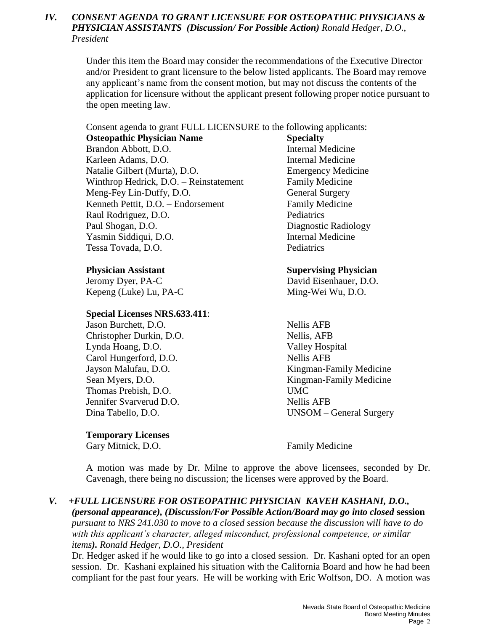#### *IV. CONSENT AGENDA TO GRANT LICENSURE FOR OSTEOPATHIC PHYSICIANS & PHYSICIAN ASSISTANTS (Discussion/ For Possible Action) Ronald Hedger, D.O., President*

Under this item the Board may consider the recommendations of the Executive Director and/or President to grant licensure to the below listed applicants. The Board may remove any applicant's name from the consent motion, but may not discuss the contents of the application for licensure without the applicant present following proper notice pursuant to the open meeting law.

Consent agenda to grant FULL LICENSURE to the following applicants:

**Osteopathic Physician Name Specialty** Brandon Abbott, D.O. Internal Medicine Karleen Adams, D.O. Internal Medicine Natalie Gilbert (Murta), D.O. Emergency Medicine Winthrop Hedrick, D.O. – Reinstatement Family Medicine Meng-Fey Lin-Duffy, D.O. General Surgery Kenneth Pettit, D.O. – Endorsement Family Medicine Raul Rodriguez, D.O. Pediatrics Paul Shogan, D.O. Diagnostic Radiology Yasmin Siddiqui, D.O. Internal Medicine Tessa Tovada, D.O. Pediatrics

Jeromy Dyer, PA-C David Eisenhauer, D.O. Kepeng (Luke) Lu, PA-C Ming-Wei Wu, D.O.

#### **Special Licenses NRS.633.411**:

Jason Burchett, D.O. Nellis AFB Christopher Durkin, D.O. Nellis, AFB Lynda Hoang, D.O. Valley Hospital Carol Hungerford, D.O. Nellis AFB Thomas Prebish, D.O. UMC Jennifer Svarverud D.O. Nellis AFB

#### **Temporary Licenses**

Gary Mitnick, D.O. **Family Medicine** 

#### **Physician Assistant Supervising Physician**

Jayson Malufau, D.O. Kingman-Family Medicine Sean Myers, D.O. Kingman-Family Medicine Dina Tabello, D.O. UNSOM – General Surgery

A motion was made by Dr. Milne to approve the above licensees, seconded by Dr. Cavenagh, there being no discussion; the licenses were approved by the Board.

#### *V. +FULL LICENSURE FOR OSTEOPATHIC PHYSICIAN KAVEH KASHANI, D.O.,*

*(personal appearance), (Discussion/For Possible Action/Board may go into closed* **session** *pursuant to NRS 241.030 to move to a closed session because the discussion will have to do with this applicant's character, alleged misconduct, professional competence, or similar items). Ronald Hedger, D.O., President*

Dr. Hedger asked if he would like to go into a closed session. Dr. Kashani opted for an open session. Dr. Kashani explained his situation with the California Board and how he had been compliant for the past four years. He will be working with Eric Wolfson, DO. A motion was